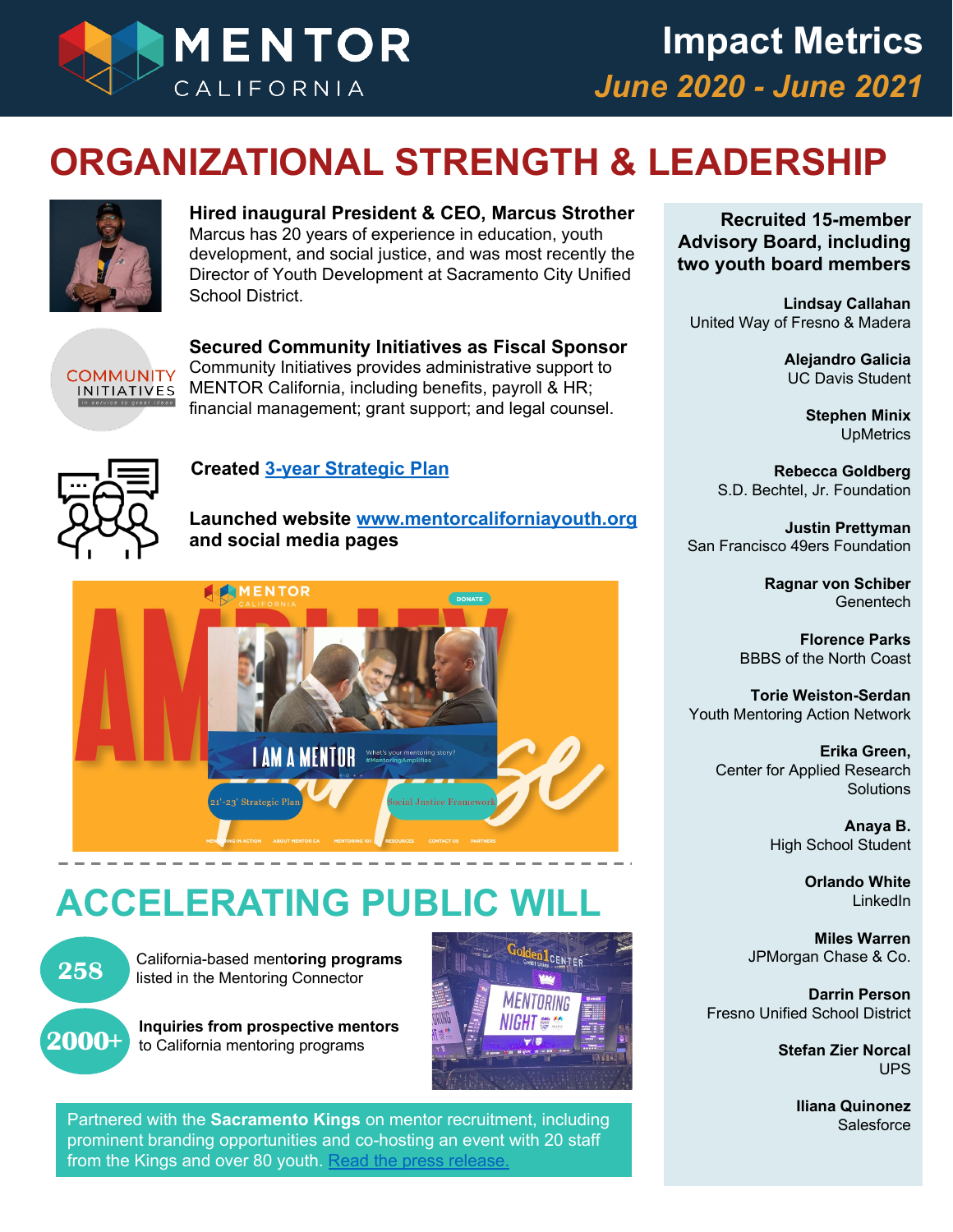

#### **ORGANIZATIONAL STRENGTH & LEADERSHIP**



**Hired inaugural President & CEO, Marcus Strother** Marcus has 20 years of experience in education, youth development, and social justice, and was most recently the Director of Youth Development at Sacramento City Unified School District.



**Secured Community Initiatives as Fiscal Sponsor** Community Initiatives provides administrative support to MENTOR California, including benefits, payroll & HR; financial management; grant support; and legal counsel.



#### **Created [3-year Strategic Plan](https://f27fa783-2274-4c7e-a820-e019bd8e6862.filesusr.com/ugd/a96113_e1b26bedb7424b90a258b5059ffa9325.pdf)**

**Launched website [www.mentorcaliforniayouth.org](http://www.mentorcaliforniayouth.org/) and social media pages**



## **ACCELERATING PUBLIC**



California-based ment**oring programs**  listed in the Mentoring Connector



**Inquiries from prospective mentors** to California mentoring programs



**15** from the Kings and over 80 youth. [Read the press release.](https://www.nba.com/kings/news/sacramento-kings-launch-yearlong-effort-increase-mentorship) Partnered with the **Sacramento Kings** on mentor recruitment, including prominent branding opportunities and co-hosting an event with 20 staff

**Recruited 15-member Advisory Board, including two youth board members**

**Lindsay Callahan** United Way of Fresno & Madera

> **Alejandro Galicia** UC Davis Student

> > **Stephen Minix UpMetrics**

**Rebecca Goldberg** S.D. Bechtel, Jr. Foundation

**Justin Prettyman** San Francisco 49ers Foundation

> **Ragnar von Schiber Genentech**

**Florence Parks** BBBS of the North Coast

**Torie Weiston-Serdan** Youth Mentoring Action Network

> **Erika Green,** Center for Applied Research **Solutions**

> > **Anaya B.** High School Student

> > > **Orlando White** LinkedIn

**Miles Warren** JPMorgan Chase & Co.

**Darrin Person** Fresno Unified School District

> **Stefan Zier Norcal** UPS

> > **Iliana Quinonez** Salesforce